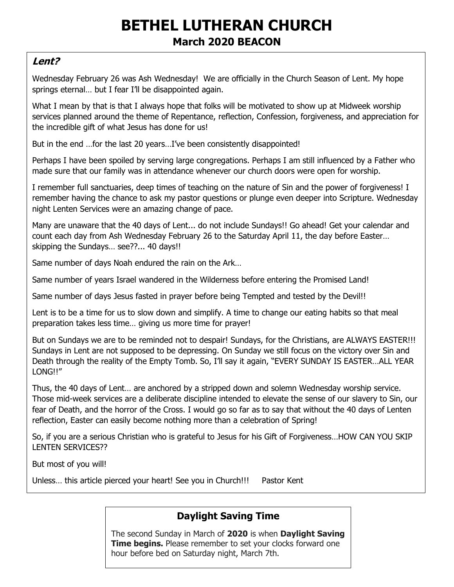# **BETHEL LUTHERAN CHURCH March 2020 BEACON**

## **Lent?**

Wednesday February 26 was Ash Wednesday! We are officially in the Church Season of Lent. My hope springs eternal... but I fear I'll be disappointed again.

What I mean by that is that I always hope that folks will be motivated to show up at Midweek worship services planned around the theme of Repentance, reflection, Confession, forgiveness, and appreciation for the incredible gift of what Jesus has done for us!

But in the end …for the last 20 years…I've been consistently disappointed!

Perhaps I have been spoiled by serving large congregations. Perhaps I am still influenced by a Father who made sure that our family was in attendance whenever our church doors were open for worship.

I remember full sanctuaries, deep times of teaching on the nature of Sin and the power of forgiveness! I remember having the chance to ask my pastor questions or plunge even deeper into Scripture. Wednesday night Lenten Services were an amazing change of pace.

Many are unaware that the 40 days of Lent... do not include Sundays!! Go ahead! Get your calendar and count each day from Ash Wednesday February 26 to the Saturday April 11, the day before Easter… skipping the Sundays… see??... 40 days!!

Same number of days Noah endured the rain on the Ark…

Same number of years Israel wandered in the Wilderness before entering the Promised Land!

Same number of days Jesus fasted in prayer before being Tempted and tested by the Devil!!

Lent is to be a time for us to slow down and simplify. A time to change our eating habits so that meal preparation takes less time… giving us more time for prayer!

But on Sundays we are to be reminded not to despair! Sundays, for the Christians, are ALWAYS EASTER!!! Sundays in Lent are not supposed to be depressing. On Sunday we still focus on the victory over Sin and Death through the reality of the Empty Tomb. So, I'll say it again, "EVERY SUNDAY IS EASTER…ALL YEAR LONG!!"

Thus, the 40 days of Lent… are anchored by a stripped down and solemn Wednesday worship service. Those mid-week services are a deliberate discipline intended to elevate the sense of our slavery to Sin, our fear of Death, and the horror of the Cross. I would go so far as to say that without the 40 days of Lenten reflection, Easter can easily become nothing more than a celebration of Spring!

So, if you are a serious Christian who is grateful to Jesus for his Gift of Forgiveness…HOW CAN YOU SKIP LENTEN SERVICES??

But most of you will!

Unless… this article pierced your heart! See you in Church!!! Pastor Kent

# **Daylight Saving Time**

The second Sunday in March of **2020** is when **Daylight Saving Time begins.** Please remember to set your clocks forward one hour before bed on Saturday night, March 7th.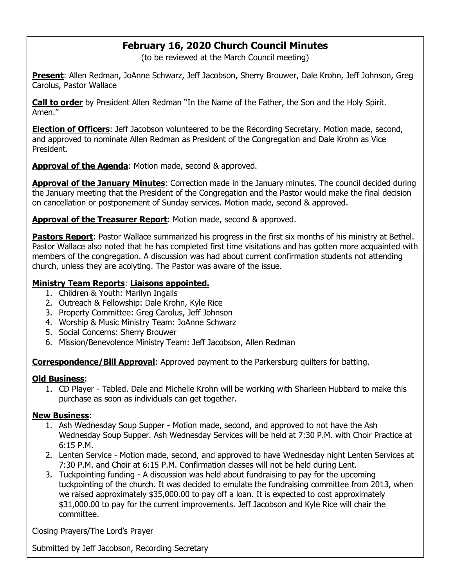# **February 16, 2020 Church Council Minutes**

(to be reviewed at the March Council meeting)

**Present**: Allen Redman, JoAnne Schwarz, Jeff Jacobson, Sherry Brouwer, Dale Krohn, Jeff Johnson, Greg Carolus, Pastor Wallace

**Call to order** by President Allen Redman "In the Name of the Father, the Son and the Holy Spirit. Amen."

**Election of Officers**: Jeff Jacobson volunteered to be the Recording Secretary. Motion made, second, and approved to nominate Allen Redman as President of the Congregation and Dale Krohn as Vice President.

**Approval of the Agenda**: Motion made, second & approved.

**Approval of the January Minutes**: Correction made in the January minutes. The council decided during the January meeting that the President of the Congregation and the Pastor would make the final decision on cancellation or postponement of Sunday services. Motion made, second & approved.

**Approval of the Treasurer Report:** Motion made, second & approved.

**Pastors Report:** Pastor Wallace summarized his progress in the first six months of his ministry at Bethel. Pastor Wallace also noted that he has completed first time visitations and has gotten more acquainted with members of the congregation. A discussion was had about current confirmation students not attending church, unless they are acolyting. The Pastor was aware of the issue.

#### **Ministry Team Reports**: **Liaisons appointed.**

- 1. Children & Youth: Marilyn Ingalls
- 2. Outreach & Fellowship: Dale Krohn, Kyle Rice
- 3. Property Committee: Greg Carolus, Jeff Johnson
- 4. Worship & Music Ministry Team: JoAnne Schwarz
- 5. Social Concerns: Sherry Brouwer
- 6. Mission/Benevolence Ministry Team: Jeff Jacobson, Allen Redman

**Correspondence/Bill Approval**: Approved payment to the Parkersburg quilters for batting.

### **Old Business**:

1. CD Player - Tabled. Dale and Michelle Krohn will be working with Sharleen Hubbard to make this purchase as soon as individuals can get together.

### **New Business**:

- 1. Ash Wednesday Soup Supper Motion made, second, and approved to not have the Ash Wednesday Soup Supper. Ash Wednesday Services will be held at 7:30 P.M. with Choir Practice at 6:15 P.M.
- 2. Lenten Service Motion made, second, and approved to have Wednesday night Lenten Services at 7:30 P.M. and Choir at 6:15 P.M. Confirmation classes will not be held during Lent.
- 3. Tuckpointing funding A discussion was held about fundraising to pay for the upcoming tuckpointing of the church. It was decided to emulate the fundraising committee from 2013, when we raised approximately \$35,000.00 to pay off a loan. It is expected to cost approximately \$31,000.00 to pay for the current improvements. Jeff Jacobson and Kyle Rice will chair the committee.

Closing Prayers/The Lord's Prayer

Submitted by Jeff Jacobson, Recording Secretary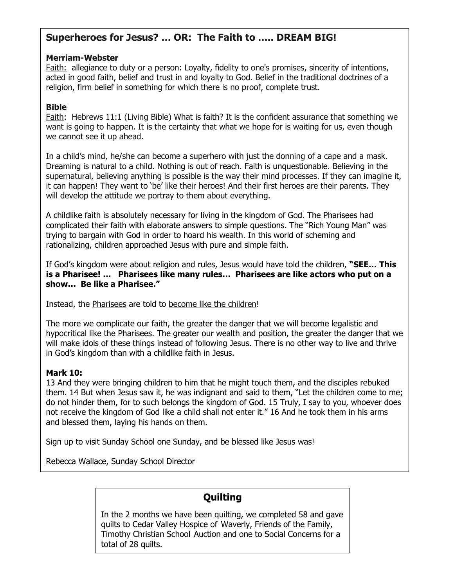## **Superheroes for Jesus? … OR: The Faith to ….. DREAM BIG!**

#### **Merriam-Webster**

Faith: allegiance to duty or a person: Loyalty, fidelity to one's promises, sincerity of intentions, acted in good faith, belief and trust in and loyalty to God. Belief in the traditional doctrines of a religion, firm belief in something for which there is no proof, complete trust.

#### **Bible**

Faith: Hebrews 11:1 (Living Bible) What is faith? It is the confident assurance that something we want is going to happen. It is the certainty that what we hope for is waiting for us, even though we cannot see it up ahead.

In a child's mind, he/she can become a superhero with just the donning of a cape and a mask. Dreaming is natural to a child. Nothing is out of reach. Faith is unquestionable. Believing in the supernatural, believing anything is possible is the way their mind processes. If they can imagine it, it can happen! They want to 'be' like their heroes! And their first heroes are their parents. They will develop the attitude we portray to them about everything.

A childlike faith is absolutely necessary for living in the kingdom of God. The Pharisees had complicated their faith with elaborate answers to simple questions. The "Rich Young Man" was trying to bargain with God in order to hoard his wealth. In this world of scheming and rationalizing, children approached Jesus with pure and simple faith.

If God's kingdom were about religion and rules, Jesus would have told the children, **"SEE… This is a Pharisee! … Pharisees like many rules… Pharisees are like actors who put on a show… Be like a Pharisee."**

Instead, the Pharisees are told to become like the children!

The more we complicate our faith, the greater the danger that we will become legalistic and hypocritical like the Pharisees. The greater our wealth and position, the greater the danger that we will make idols of these things instead of following Jesus. There is no other way to live and thrive in God's kingdom than with a childlike faith in Jesus.

#### **Mark 10:**

13 And they were bringing children to him that he might touch them, and the disciples rebuked them. 14 But when Jesus saw it, he was indignant and said to them, "Let the children come to me; do not hinder them, for to such belongs the kingdom of God. 15 Truly, I say to you, whoever does not receive the kingdom of God like a child shall not enter it." 16 And he took them in his arms and blessed them, laying his hands on them.

Sign up to visit Sunday School one Sunday, and be blessed like Jesus was!

Rebecca Wallace, Sunday School Director

## **Quilting**

In the 2 months we have been quilting, we completed 58 and gave quilts to Cedar Valley Hospice of Waverly, Friends of the Family, Timothy Christian School Auction and one to Social Concerns for a total of 28 quilts.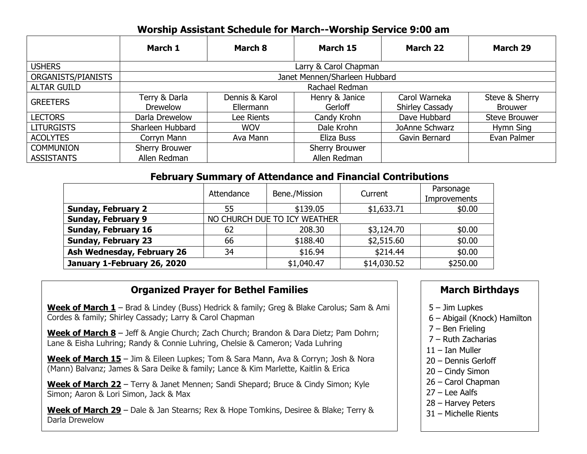# **Worship Assistant Schedule for March--Worship Service 9:00 am**

|                    | March 1                          | March 8                     | March 15                  | <b>March 22</b>                         | <b>March 29</b>                  |  |  |  |
|--------------------|----------------------------------|-----------------------------|---------------------------|-----------------------------------------|----------------------------------|--|--|--|
| <b>USHERS</b>      | Larry & Carol Chapman            |                             |                           |                                         |                                  |  |  |  |
| ORGANISTS/PIANISTS | Janet Mennen/Sharleen Hubbard    |                             |                           |                                         |                                  |  |  |  |
| <b>ALTAR GUILD</b> | Rachael Redman                   |                             |                           |                                         |                                  |  |  |  |
| <b>GREETERS</b>    | Terry & Darla<br><b>Drewelow</b> | Dennis & Karol<br>Ellermann | Henry & Janice<br>Gerloff | Carol Warneka<br><b>Shirley Cassady</b> | Steve & Sherry<br><b>Brouwer</b> |  |  |  |
| <b>LECTORS</b>     | Darla Drewelow                   | Lee Rients                  | Candy Krohn               | Dave Hubbard                            | Steve Brouwer                    |  |  |  |
| <b>LITURGISTS</b>  | Sharleen Hubbard                 | <b>WOV</b>                  | Dale Krohn                | JoAnne Schwarz                          | Hymn Sing                        |  |  |  |
| <b>ACOLYTES</b>    | Corryn Mann                      | Ava Mann                    | Eliza Buss                | Gavin Bernard                           | Evan Palmer                      |  |  |  |
| <b>COMMUNION</b>   | Sherry Brouwer                   |                             | Sherry Brouwer            |                                         |                                  |  |  |  |
| <b>ASSISTANTS</b>  | Allen Redman                     |                             | Allen Redman              |                                         |                                  |  |  |  |

### **February Summary of Attendance and Financial Contributions**

|                             | Attendance                   | Bene./Mission | Current    | Parsonage<br>Improvements |  |  |
|-----------------------------|------------------------------|---------------|------------|---------------------------|--|--|
| <b>Sunday, February 2</b>   | 55                           | \$139.05      | \$1,633.71 | \$0.00                    |  |  |
| <b>Sunday, February 9</b>   | NO CHURCH DUE TO ICY WEATHER |               |            |                           |  |  |
| <b>Sunday, February 16</b>  | 62                           | 208.30        | \$3,124.70 | \$0.00                    |  |  |
| <b>Sunday, February 23</b>  | 66                           | \$188.40      | \$2,515.60 | \$0.00                    |  |  |
| Ash Wednesday, February 26  | 34                           | \$16.94       | \$214.44   | \$0.00                    |  |  |
| January 1-February 26, 2020 | \$1,040.47                   | \$14,030.52   | \$250.00   |                           |  |  |

## **Organized Prayer for Bethel Families**

**Week of March 1** – Brad & Lindey (Buss) Hedrick & family; Greg & Blake Carolus; Sam & Ami Cordes & family; Shirley Cassady; Larry & Carol Chapman

**Week of March 8** – Jeff & Angie Church; Zach Church; Brandon & Dara Dietz; Pam Dohrn; Lane & Eisha Luhring; Randy & Connie Luhring, Chelsie & Cameron; Vada Luhring

**Week of March 15** – Jim & Eileen Lupkes; Tom & Sara Mann, Ava & Corryn; Josh & Nora (Mann) Balvanz; James & Sara Deike & family; Lance & Kim Marlette, Kaitlin & Erica

**Week of March 22** – Terry & Janet Mennen; Sandi Shepard; Bruce & Cindy Simon; Kyle Simon; Aaron & Lori Simon, Jack & Max

**Week of March 29** – Dale & Jan Stearns; Rex & Hope Tomkins, Desiree & Blake; Terry & Darla Drewelow

### **March Birthdays**

- 5 Jim Lupkes
- 6 Abigail (Knock) Hamilton
- 7 Ben Frieling
- 7 Ruth Zacharias
- 11 Ian Muller
- 20 Dennis Gerloff
- 20 Cindy Simon
- 26 Carol Chapman
- 27 Lee Aalfs
- 28 Harvey Peters
- 31 Michelle Rients